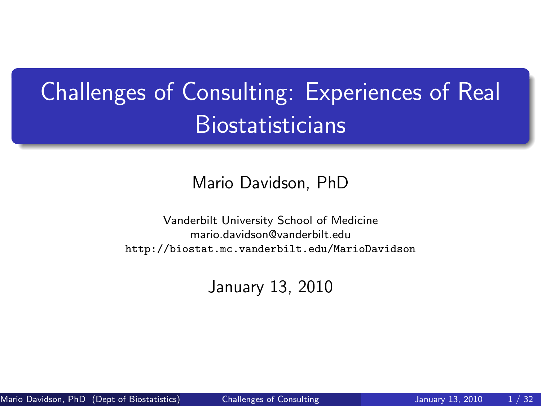## Challenges of Consulting: Experiences of Real Biostatisticians

#### Mario Davidson, PhD

Vanderbilt University School of Medicine mario.davidson@vanderbilt.edu <http://biostat.mc.vanderbilt.edu/MarioDavidson>

<span id="page-0-0"></span>January 13, 2010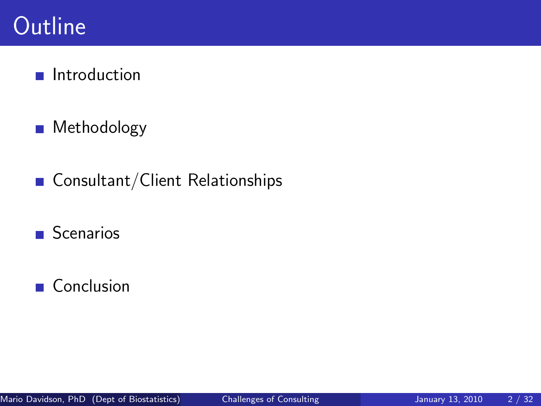#### **Outline**

#### $\blacksquare$  Introduction

- Methodology  $\mathcal{L}_{\mathcal{A}}$
- Consultant/Client Relationships  $\mathcal{L}_{\mathcal{A}}$
- **Scenarios**

#### Conclusion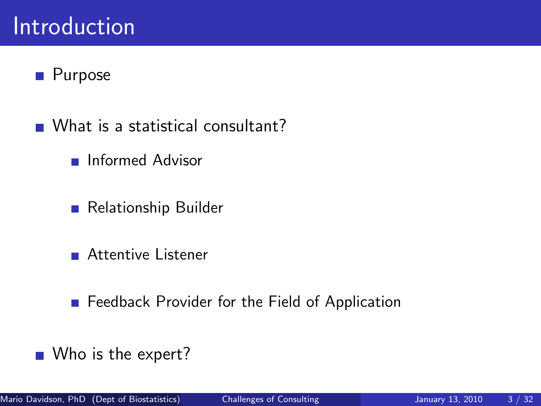#### Introduction

#### **Purpose**

- What is a statistical consultant?
	- **Informed Advisor**
	- Relationship Builder
	- **Attentive Listener**
	- **Feedback Provider for the Field of Application**
- Who is the expert?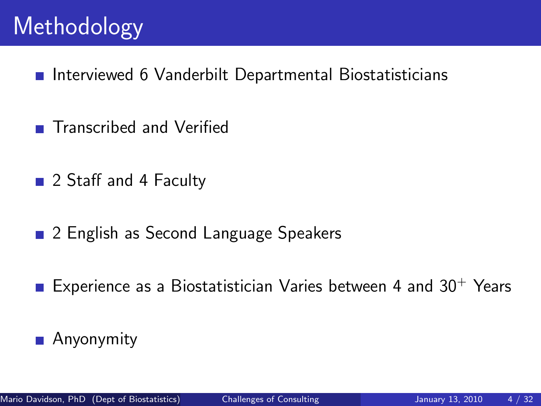### **Methodology**

- Interviewed 6 Vanderbilt Departmental Biostatisticians
- Transcribed and Verified
- 2 Staff and 4 Faculty
- 2 English as Second Language Speakers
- Experience as a Biostatistician Varies between 4 and  $30^{+}$  Years
- $\mathcal{L}_{\mathcal{A}}$ Anyonymity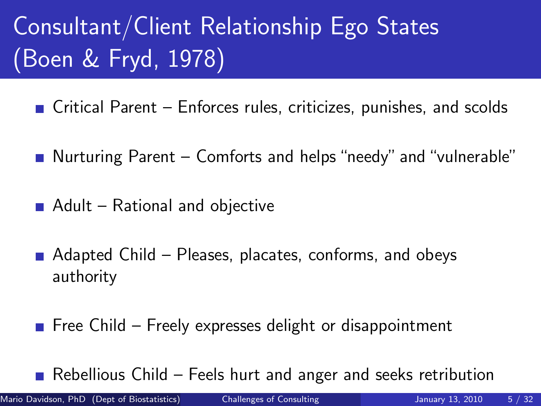# Consultant/Client Relationship Ego States (Boen & Fryd, 1978)

- $\blacksquare$  Critical Parent Enforces rules, criticizes, punishes, and scolds
- Nurturing Parent Comforts and helps "needy" and "vulnerable"
- $\blacksquare$  Adult Rational and objective
- $\blacksquare$  Adapted Child Pleases, placates, conforms, and obeys authority
- Free Child Freely expresses delight or disappointment

Rebellious Child – Feels hurt and anger and seeks retribution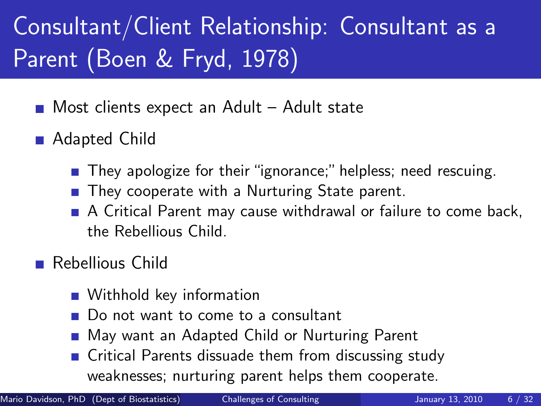# Consultant/Client Relationship: Consultant as a Parent (Boen & Fryd, 1978)

- Most clients expect an Adult Adult state
- Adapted Child
	- **They apologize for their "ignorance;" helpless; need rescuing.**
	- They cooperate with a Nurturing State parent.
	- A Critical Parent may cause withdrawal or failure to come back, the Rebellious Child.
- Rebellious Child
	- **Withhold key information**
	- Do not want to come to a consultant
	- May want an Adapted Child or Nurturing Parent
	- Critical Parents dissuade them from discussing study weaknesses; nurturing parent helps them cooperate.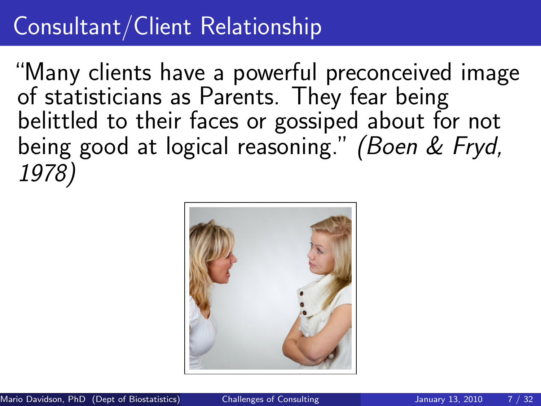#### Consultant/Client Relationship

"Many clients have a powerful preconceived image of statisticians as Parents. They fear being belittled to their faces or gossiped about for not being good at logical reasoning." (Boen & Fryd, 1978)

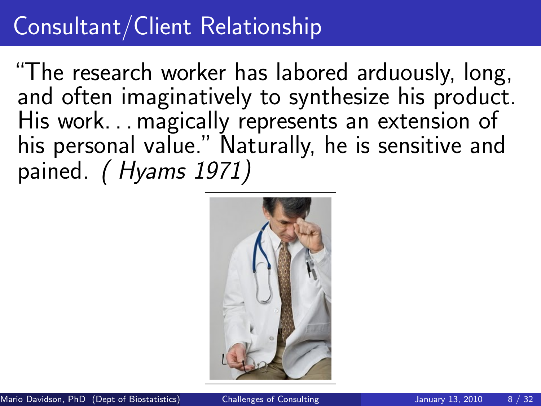### Consultant/Client Relationship

"The research worker has labored arduously, long, and often imaginatively to synthesize his product. His work. . . magically represents an extension of his personal value." Naturally, he is sensitive and pained. (Hyams 1971)

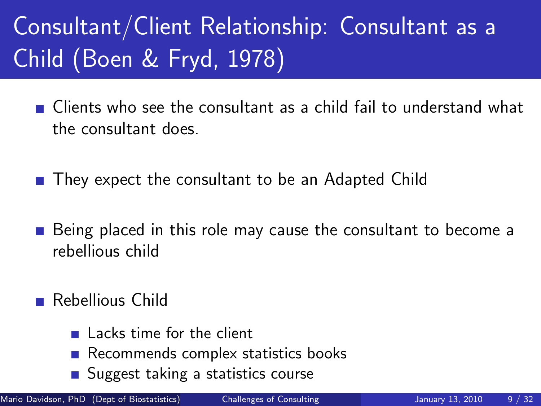# Consultant/Client Relationship: Consultant as a Child (Boen & Fryd, 1978)

- Clients who see the consultant as a child fail to understand what the consultant does.
- They expect the consultant to be an Adapted Child
- Being placed in this role may cause the consultant to become a rebellious child
- Rebellious Child
	- Lacks time for the client
	- Recommends complex statistics books
	- Suggest taking a statistics course

Mario Davidson, PhD (Dept of Biostatistics) [Challenges of Consulting](#page-0-0) January 13, 2010 9 / 32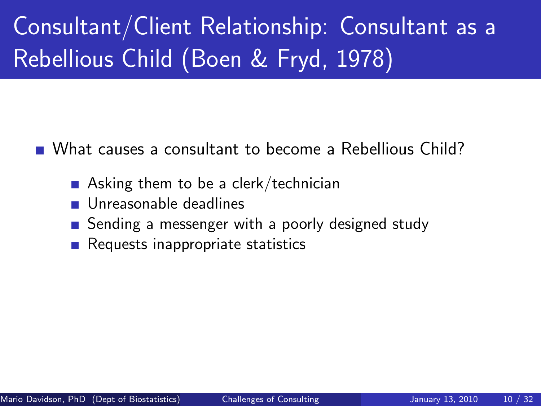Consultant/Client Relationship: Consultant as a Rebellious Child (Boen & Fryd, 1978)

What causes a consultant to become a Rebellious Child?

- Asking them to be a clerk/technician
- Unreasonable deadlines
- Sending a messenger with a poorly designed study
- $\blacksquare$  Requests inappropriate statistics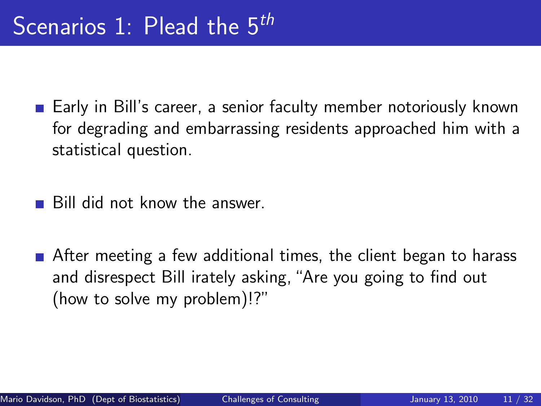- Early in Bill's career, a senior faculty member notoriously known for degrading and embarrassing residents approached him with a statistical question.
- Bill did not know the answer.
- After meeting a few additional times, the client began to harass and disrespect Bill irately asking, "Are you going to find out (how to solve my problem)!?"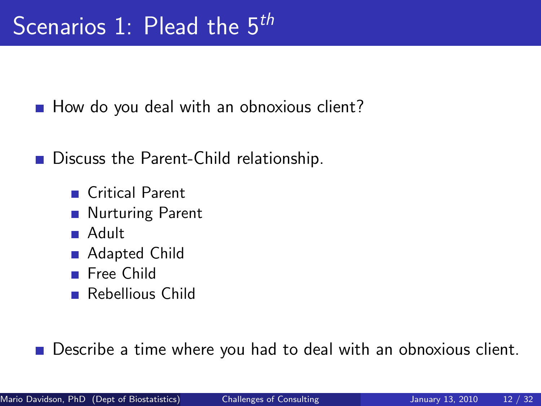How do you deal with an obnoxious client?

Discuss the Parent-Child relationship.

- Critical Parent
- **Nurturing Parent**
- Adult
- Adapted Child
- **Free Child**
- **Rebellious Child**

Describe a time where you had to deal with an obnoxious client.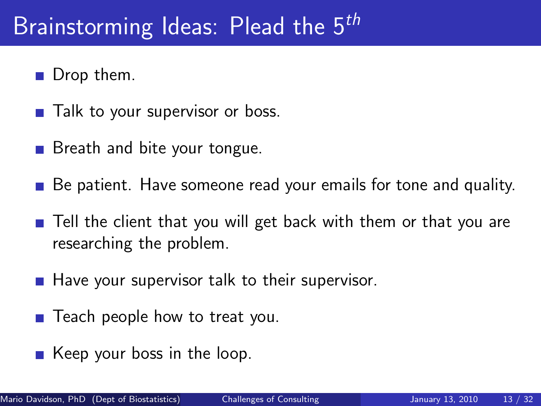### Brainstorming Ideas: Plead the 5<sup>th</sup>

- $\blacksquare$  Drop them.
- Talk to your supervisor or boss.
- Breath and bite your tongue.
- Be patient. Have someone read your emails for tone and quality.
- Tell the client that you will get back with them or that you are researching the problem.
- $\blacksquare$  Have your supervisor talk to their supervisor.
- Teach people how to treat you.
- $\blacksquare$  Keep your boss in the loop.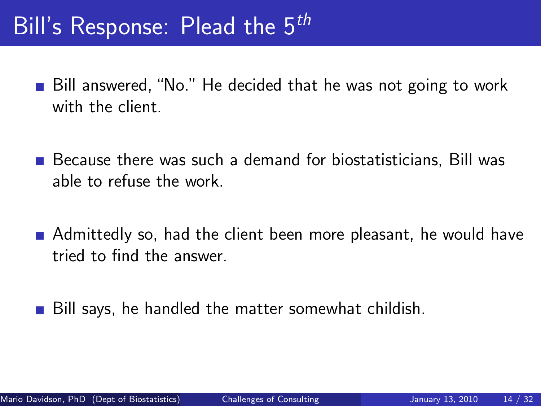### Bill's Response: Plead the 5<sup>th</sup>

- Bill answered, "No." He decided that he was not going to work with the client.
- $\blacksquare$  Because there was such a demand for biostatisticians, Bill was able to refuse the work.
- Admittedly so, had the client been more pleasant, he would have tried to find the answer.
- Bill says, he handled the matter somewhat childish.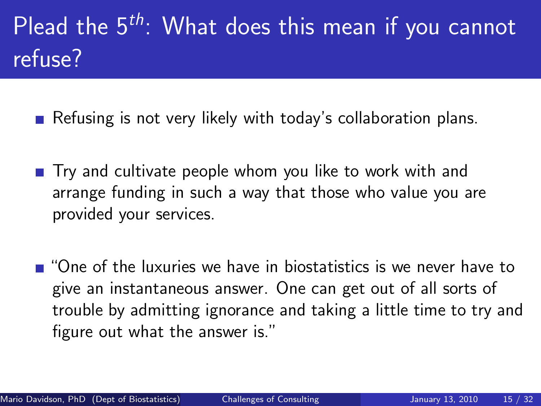# Plead the  $5^{th}$ : What does this mean if you cannot refuse?

- Refusing is not very likely with today's collaboration plans.
- $\blacksquare$  Try and cultivate people whom you like to work with and arrange funding in such a way that those who value you are provided your services.
- $\blacksquare$  "One of the luxuries we have in biostatistics is we never have to give an instantaneous answer. One can get out of all sorts of trouble by admitting ignorance and taking a little time to try and figure out what the answer is."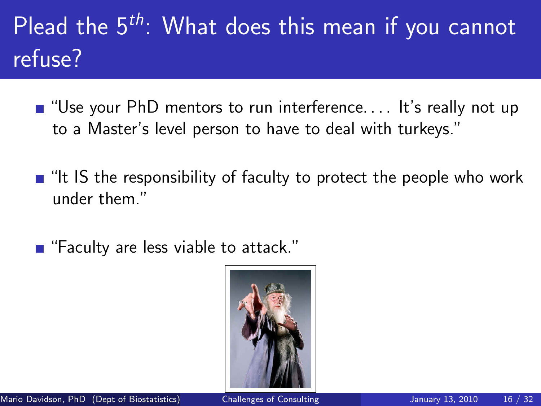# Plead the  $5<sup>th</sup>$ : What does this mean if you cannot refuse?

- $\blacksquare$  "Use your PhD mentors to run interference.... It's really not up to a Master's level person to have to deal with turkeys."
- $\blacksquare$  "It IS the responsibility of faculty to protect the people who work under them."
- "Faculty are less viable to attack."

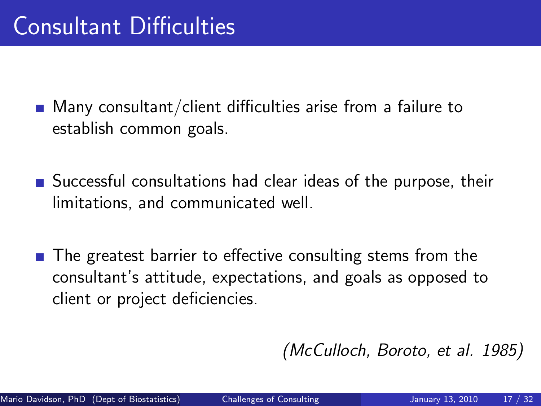- $\blacksquare$  Many consultant/client difficulties arise from a failure to establish common goals.
- Successful consultations had clear ideas of the purpose, their limitations, and communicated well.
- The greatest barrier to effective consulting stems from the consultant's attitude, expectations, and goals as opposed to client or project deficiencies.

(McCulloch, Boroto, et al. 1985)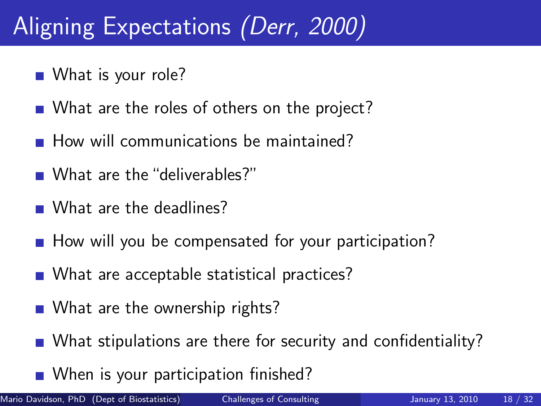### Aligning Expectations (Derr, 2000)

- What is your role?
- What are the roles of others on the project?
- How will communications be maintained?
- What are the "deliverables?"
- What are the deadlines?
- $\blacksquare$  How will you be compensated for your participation?
- What are acceptable statistical practices?
- What are the ownership rights?
- What stipulations are there for security and confidentiality?
- When is your participation finished?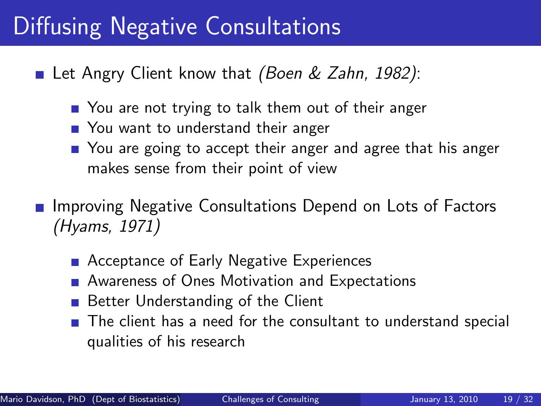#### Diffusing Negative Consultations

Let Angry Client know that *(Boen & Zahn, 1982)*:

- You are not trying to talk them out of their anger
- You want to understand their anger
- You are going to accept their anger and agree that his anger makes sense from their point of view
- Improving Negative Consultations Depend on Lots of Factors (Hyams, 1971)
	- Acceptance of Early Negative Experiences
	- **Awareness of Ones Motivation and Expectations**
	- **Better Understanding of the Client**
	- The client has a need for the consultant to understand special qualities of his research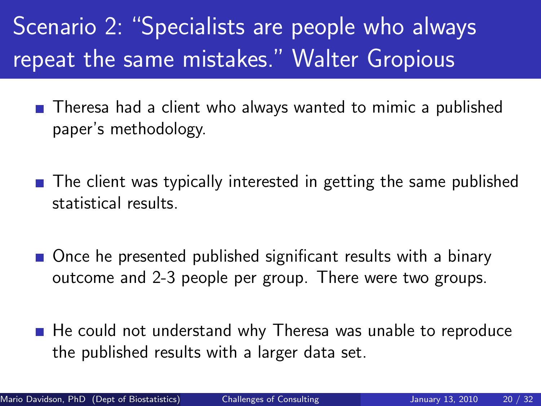Scenario 2: "Specialists are people who always repeat the same mistakes." Walter Gropious

- Theresa had a client who always wanted to mimic a published paper's methodology.
- $\blacksquare$  The client was typically interested in getting the same published statistical results.
- Once he presented published significant results with a binary outcome and 2-3 people per group. There were two groups.
- $\blacksquare$  He could not understand why Theresa was unable to reproduce the published results with a larger data set.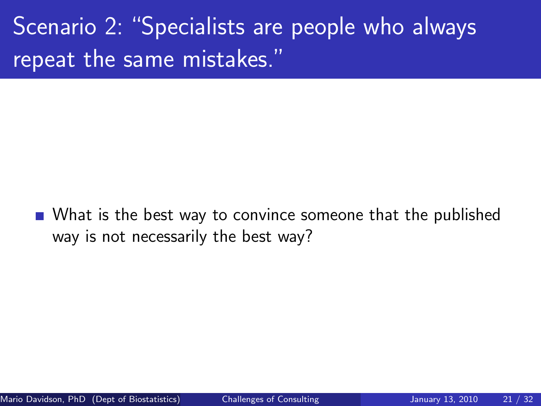Scenario 2: "Specialists are people who always repeat the same mistakes."

■ What is the best way to convince someone that the published way is not necessarily the best way?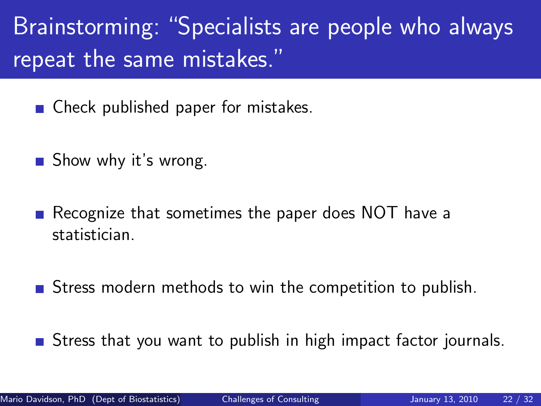Brainstorming: "Specialists are people who always repeat the same mistakes."

■ Check published paper for mistakes.

Show why it's wrong.

Recognize that sometimes the paper does NOT have a statistician.

**Stress modern methods to win the competition to publish.** 

Stress that you want to publish in high impact factor journals.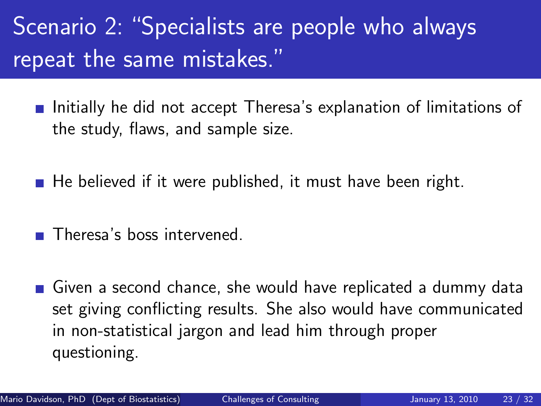## Scenario 2: "Specialists are people who always repeat the same mistakes."

- **Initially he did not accept Theresa's explanation of limitations of** the study, flaws, and sample size.
- $\blacksquare$  He believed if it were published, it must have been right.
- Theresa's boss intervened.
- Given a second chance, she would have replicated a dummy data set giving conflicting results. She also would have communicated in non-statistical jargon and lead him through proper questioning.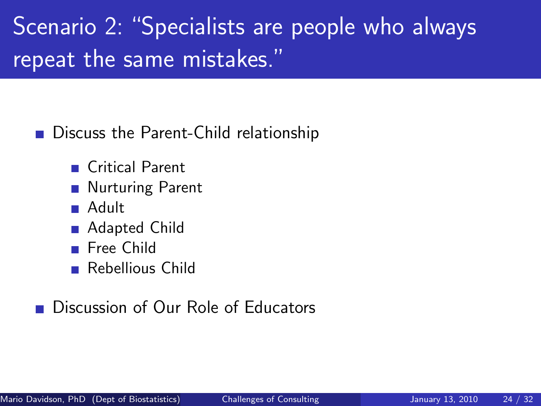Scenario 2: "Specialists are people who always repeat the same mistakes."

Discuss the Parent-Child relationship

- Critical Parent
- **Nurturing Parent**
- Adult
- Adapted Child
- **Free Child**
- Rebellious Child

Discussion of Our Role of Educators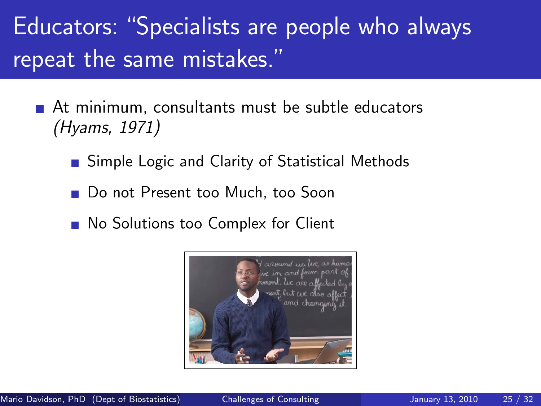## Educators: "Specialists are people who always repeat the same mistakes."

- At minimum, consultants must be subtle educators (Hyams, 1971)
	- **Simple Logic and Clarity of Statistical Methods**
	- Do not Present too Much, too Soon
	- No Solutions too Complex for Client

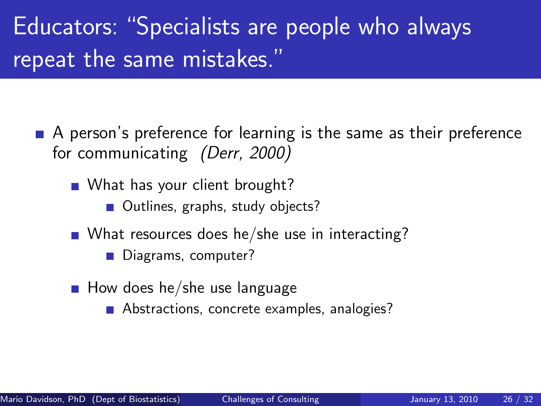## Educators: "Specialists are people who always repeat the same mistakes."

- A person's preference for learning is the same as their preference for communicating (Derr, 2000)
	- What has your client brought?
		- Outlines, graphs, study objects?
	- What resources does he/she use in interacting?
		- Diagrams, computer?
	- $\blacksquare$  How does he/she use language
		- Abstractions, concrete examples, analogies?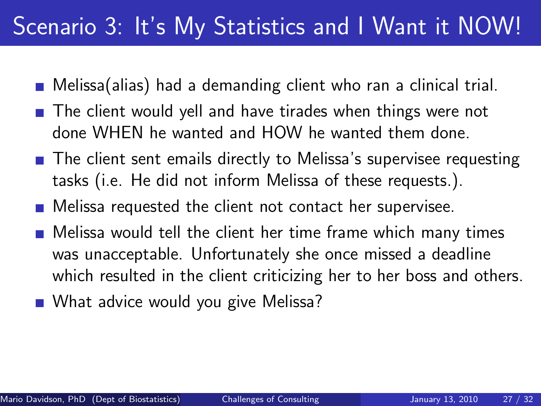#### Scenario 3: It's My Statistics and I Want it NOW!

- Melissa(alias) had a demanding client who ran a clinical trial.
- The client would yell and have tirades when things were not done WHEN he wanted and HOW he wanted them done.
- The client sent emails directly to Melissa's supervisee requesting tasks (i.e. He did not inform Melissa of these requests.).
- **Melissa requested the client not contact her supervisee.**
- Melissa would tell the client her time frame which many times was unacceptable. Unfortunately she once missed a deadline which resulted in the client criticizing her to her boss and others.
- What advice would you give Melissa?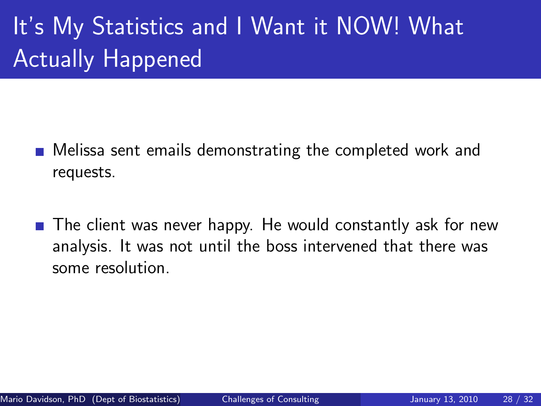# It's My Statistics and I Want it NOW! What Actually Happened

- Melissa sent emails demonstrating the completed work and requests.
- The client was never happy. He would constantly ask for new analysis. It was not until the boss intervened that there was some resolution.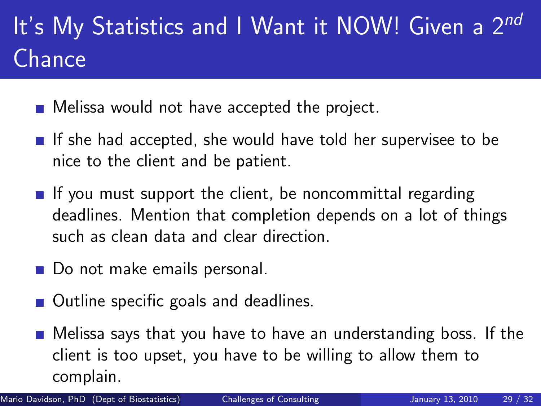# It's My Statistics and I Want it NOW! Given a 2nd Chance

- **Melissa would not have accepted the project.**
- If she had accepted, she would have told her supervisee to be nice to the client and be patient.
- If you must support the client, be noncommittal regarding deadlines. Mention that completion depends on a lot of things such as clean data and clear direction.
- Do not make emails personal.
- Outline specific goals and deadlines.
- **n** Melissa says that you have to have an understanding boss. If the client is too upset, you have to be willing to allow them to complain.

Mario Davidson, PhD (Dept of Biostatistics) [Challenges of Consulting](#page-0-0) January 13, 2010 29 / 32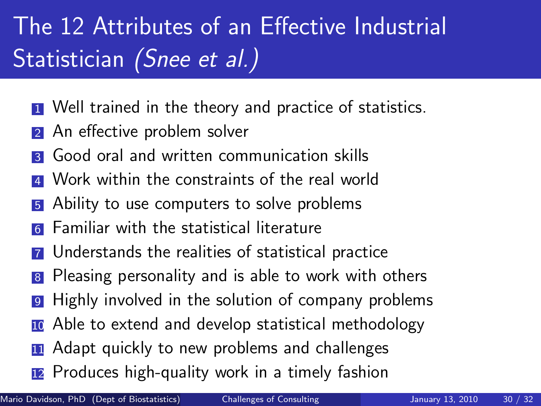# The 12 Attributes of an Effective Industrial Statistician (Snee et al.)

- **1** Well trained in the theory and practice of statistics.
- An effective problem solver
- <sup>3</sup> Good oral and written communication skills
- Work within the constraints of the real world
- 5 Ability to use computers to solve problems
- **6** Familiar with the statistical literature
- <sup>7</sup> Understands the realities of statistical practice
- 8 Pleasing personality and is able to work with others
- <sup>9</sup> Highly involved in the solution of company problems
- **10** Able to extend and develop statistical methodology
- **11** Adapt quickly to new problems and challenges
- <sup>12</sup> Produces high-quality work in a timely fashion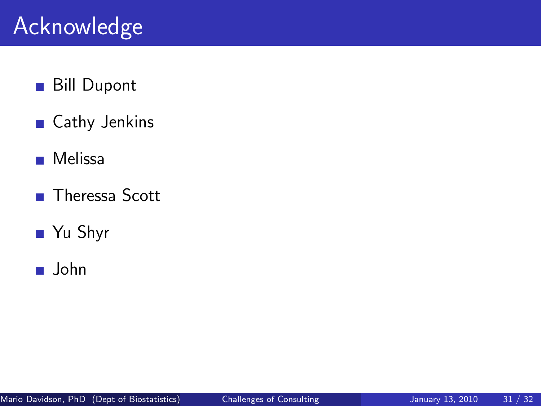### Acknowledge

- Bill Dupont  $\mathcal{L}_{\mathcal{A}}$
- Cathy Jenkins  $\mathcal{L}_{\mathcal{A}}$
- $\mathcal{L}_{\mathcal{A}}$ Melissa
- Theressa Scott  $\overline{\phantom{a}}$
- Yu Shyr
- John  $\mathcal{L}_{\mathcal{A}}$